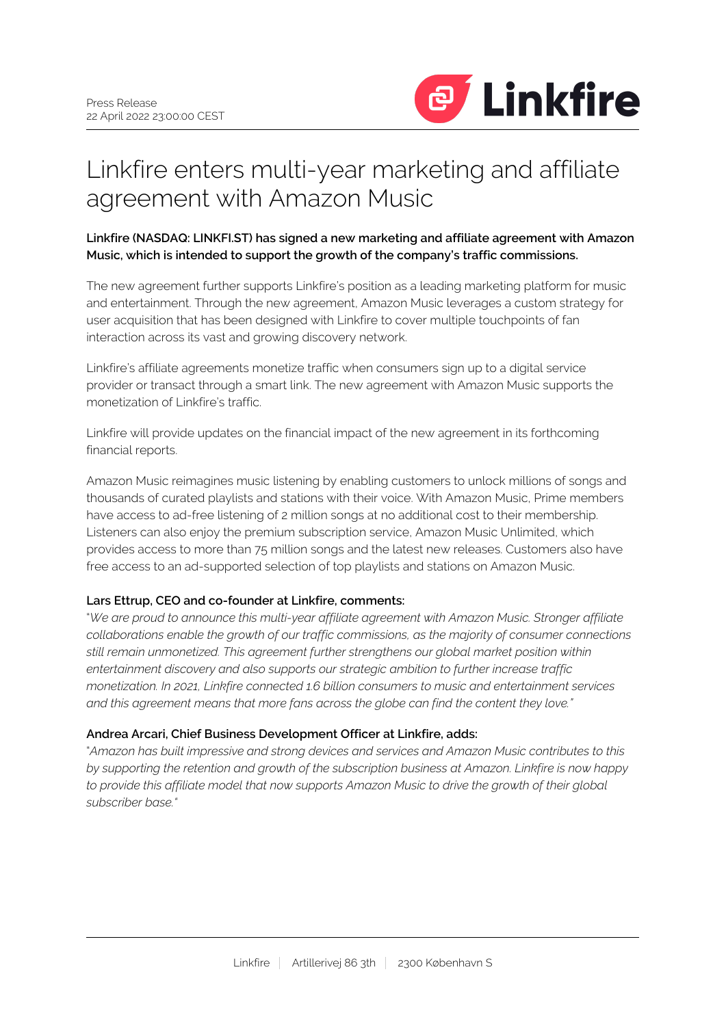

# Linkfire enters multi-year marketing and affiliate agreement with Amazon Music

**Linkfire (NASDAQ: LINKFI.ST) has signed a new marketing and affiliate agreement with Amazon Music, which is intended to support the growth of the company's traffic commissions.**

The new agreement further supports Linkfire's position as a leading marketing platform for music and entertainment. Through the new agreement, Amazon Music leverages a custom strategy for user acquisition that has been designed with Linkfire to cover multiple touchpoints of fan interaction across its vast and growing discovery network.

Linkfire's affiliate agreements monetize traffic when consumers sign up to a digital service provider or transact through a smart link. The new agreement with Amazon Music supports the monetization of Linkfire's traffic.

Linkfire will provide updates on the financial impact of the new agreement in its forthcoming financial reports.

Amazon Music reimagines music listening by enabling customers to unlock millions of songs and thousands of curated playlists and stations with their voice. With Amazon Music, Prime members have access to ad-free listening of 2 million songs at no additional cost to their membership. Listeners can also enjoy the premium subscription service, Amazon Music Unlimited, which provides access to more than 75 million songs and the latest new releases. Customers also have free access to an ad-supported selection of top playlists and stations on Amazon Music.

# **Lars Ettrup, CEO and co-founder at Linkfire, comments:**

"*We are proud to announce this multi-year affiliate agreement with Amazon Music. Stronger affiliate collaborations enable the growth of our traffic commissions, as the majority of consumer connections still remain unmonetized. This agreement further strengthens our global market position within entertainment discovery and also supports our strategic ambition to further increase traffic monetization. In 2021, Linkfire connected 1.6 billion consumers to music and entertainment services and this agreement means that more fans across the globe can find the content they love."*

# **Andrea Arcari, Chief Business Development Officer at Linkfire, adds:**

"*Amazon has built impressive and strong devices and services and Amazon Music contributes to this by supporting the retention and growth of the subscription business at Amazon. Linkfire is now happy to provide this affiliate model that now supports Amazon Music to drive the growth of their global subscriber base."*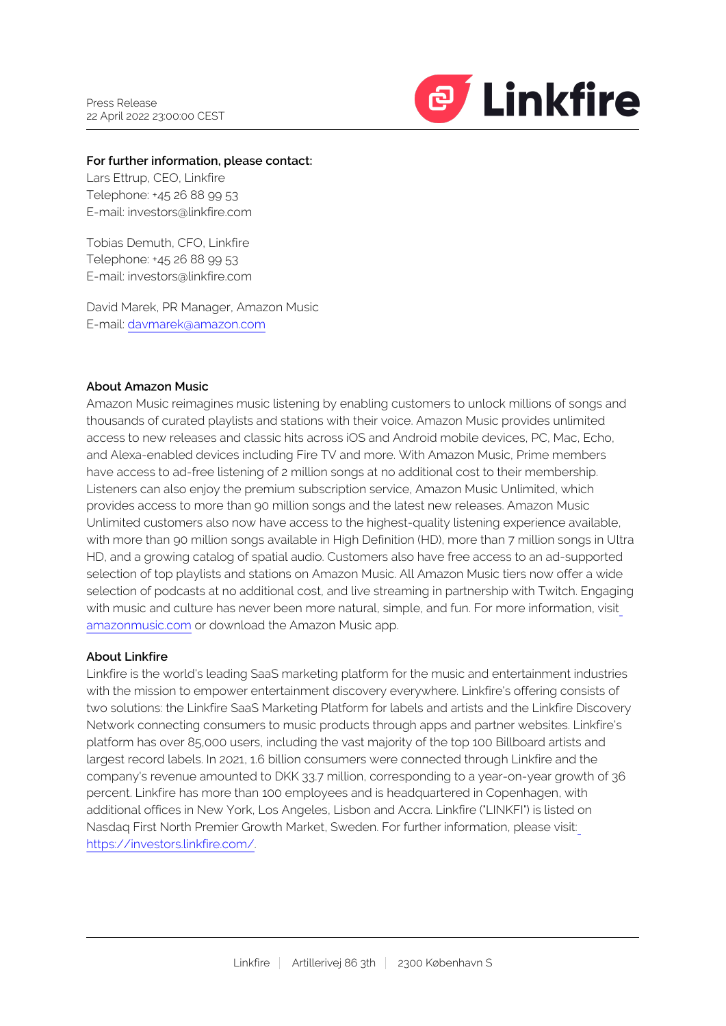

### **For further information, please contact:**

Lars Ettrup, CEO, Linkfire Telephone: +45 26 88 99 53 E-mail: investors@linkfire.com

Tobias Demuth, CFO, Linkfire Telephone: +45 26 88 99 53 E-mail: investors@linkfire.com

David Marek, PR Manager, Amazon Music E-mail: [davmarek@amazon.com](mailto:davmarek@amazon.com)

## **About Amazon Music**

Amazon Music reimagines music listening by enabling customers to unlock millions of songs and thousands of curated playlists and stations with their voice. Amazon Music provides unlimited access to new releases and classic hits across iOS and Android mobile devices, PC, Mac, Echo, and Alexa-enabled devices including Fire TV and more. With Amazon Music, Prime members have access to ad-free listening of 2 million songs at no additional cost to their membership. Listeners can also enjoy the premium subscription service, Amazon Music Unlimited, which provides access to more than 90 million songs and the latest new releases. Amazon Music Unlimited customers also now have access to the highest-quality listening experience available, with more than 90 million songs available in High Definition (HD), more than 7 million songs in Ultra HD, and a growing catalog of spatial audio. Customers also have free access to an ad-supported selection of top playlists and stations on Amazon Music. All Amazon Music tiers now offer a wide selection of podcasts at no additional cost, and live streaming in partnership with Twitch. Engaging with music and culture has never been more natural, simple, and fun. For more information, visit [amazonmusic.com](https://www.amazonmusic.com/) or download the Amazon Music app.

### **About Linkfire**

Linkfire is the world's leading SaaS marketing platform for the music and entertainment industries with the mission to empower entertainment discovery everywhere. Linkfire's offering consists of two solutions: the Linkfire SaaS Marketing Platform for labels and artists and the Linkfire Discovery Network connecting consumers to music products through apps and partner websites. Linkfire's platform has over 85,000 users, including the vast majority of the top 100 Billboard artists and largest record labels. In 2021, 1.6 billion consumers were connected through Linkfire and the company's revenue amounted to DKK 33.7 million, corresponding to a year-on-year growth of 36 percent. Linkfire has more than 100 employees and is headquartered in Copenhagen, with additional offices in New York, Los Angeles, Lisbon and Accra. Linkfire ("LINKFI") is listed on Nasdaq First North Premier Growth Market, Sweden. For further information, please visit: [https://investors.linkfire.com/.](https://investors.linkfire.com/)